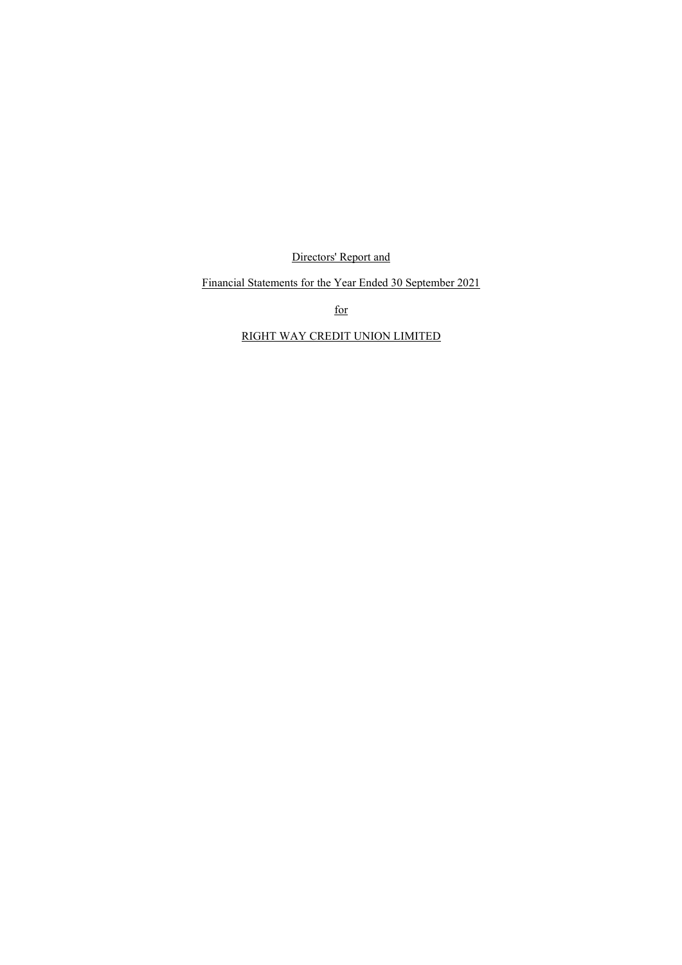Directors' Report and

Financial Statements for the Year Ended 30 September 2021

 $\frac{f}{f}$  for  $\frac{f}{f}$ 

## RIGHT WAY CREDIT UNION LIMITED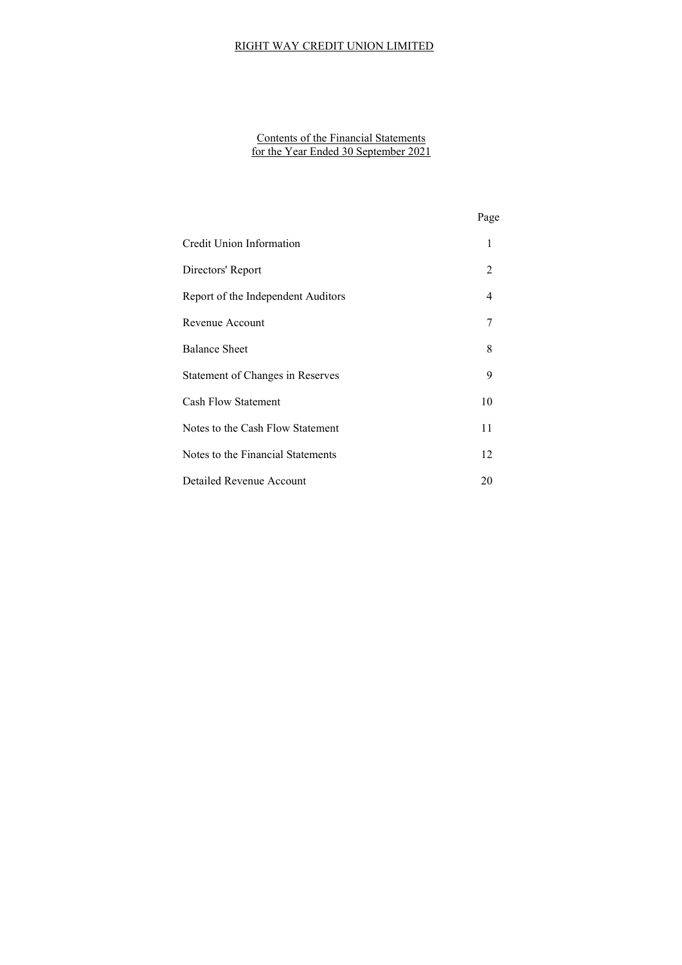#### Contents of the Financial Statements for the Year Ended 30 September 2021

|                                    | Page           |
|------------------------------------|----------------|
| Credit Union Information           | 1              |
| Directors' Report                  | 2              |
| Report of the Independent Auditors | $\overline{4}$ |
| Revenue Account                    | 7              |
| <b>Balance Sheet</b>               | 8              |
| Statement of Changes in Reserves   | 9              |
| <b>Cash Flow Statement</b>         | 10             |
| Notes to the Cash Flow Statement   | 11             |
| Notes to the Financial Statements  | 12             |
| Detailed Revenue Account           | 20             |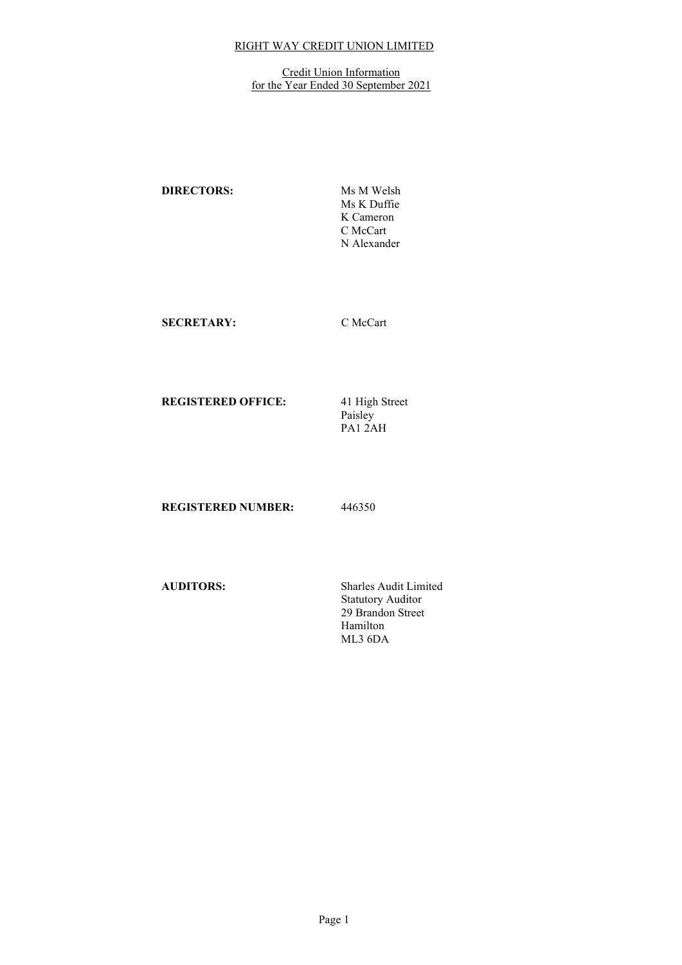#### **Credit Union Information** for the Year Ended 30 September 2021

DIRECTORS: Ms M Welsh Ms K Duffie K Cameron C McCart N Alexander

SECRETARY: C McCart

REGISTERED OFFICE:

41 High Street<br>Paisley PA1 2AH

REGISTERED NUMBER: 446350

AUDITORS: Sharles Audit Limited Statutory Auditor 29 Brandon Street Hamilton ML3 6DA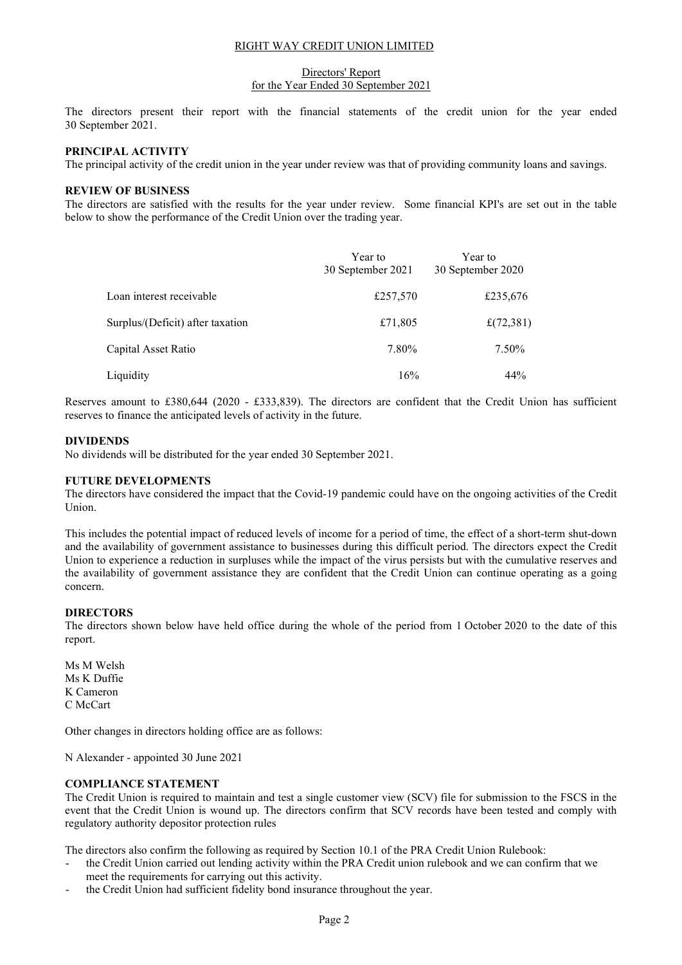#### Directors' Report for the Year Ended 30 September 2021

The directors present their report with the financial statements of the credit union for the year ended 30 September 2021.

## PRINCIPAL ACTIVITY

The principal activity of the credit union in the year under review was that of providing community loans and savings.

#### REVIEW OF BUSINESS

The directors are satisfied with the results for the year under review. Some financial KPI's are set out in the table below to show the performance of the Credit Union over the trading year.

|                                  | Year to<br>30 September 2021 | Year to<br>30 September 2020 |
|----------------------------------|------------------------------|------------------------------|
| Loan interest receivable         | £257,570                     | £235,676                     |
| Surplus/(Deficit) after taxation | £71,805                      | £(72,381)                    |
| Capital Asset Ratio              | 7.80%                        | 7.50%                        |
| Liquidity                        | 16%                          | 44%                          |

Reserves amount to £380,644 (2020 - £333,839). The directors are confident that the Credit Union has sufficient reserves to finance the anticipated levels of activity in the future.

#### DIVIDENDS

No dividends will be distributed for the year ended 30 September 2021.

#### FUTURE DEVELOPMENTS

The directors have considered the impact that the Covid-19 pandemic could have on the ongoing activities of the Credit Union.

This includes the potential impact of reduced levels of income for a period of time, the effect of a short-term shut-down and the availability of government assistance to businesses during this difficult period. The directors expect the Credit Union to experience a reduction in surpluses while the impact of the virus persists but with the cumulative reserves and the availability of government assistance they are confident that the Credit Union can continue operating as a going concern.

## DIRECTORS

The directors shown below have held office during the whole of the period from 1 October 2020 to the date of this report.

Ms M Welsh Ms K Duffie K Cameron C McCart

Other changes in directors holding office are as follows:

N Alexander - appointed 30 June 2021

## COMPLIANCE STATEMENT

The Credit Union is required to maintain and test a single customer view (SCV) file for submission to the FSCS in the event that the Credit Union is wound up. The directors confirm that SCV records have been tested and comply with regulatory authority depositor protection rules

The directors also confirm the following as required by Section 10.1 of the PRA Credit Union Rulebook:

- the Credit Union carried out lending activity within the PRA Credit union rulebook and we can confirm that we meet the requirements for carrying out this activity.
- the Credit Union had sufficient fidelity bond insurance throughout the year.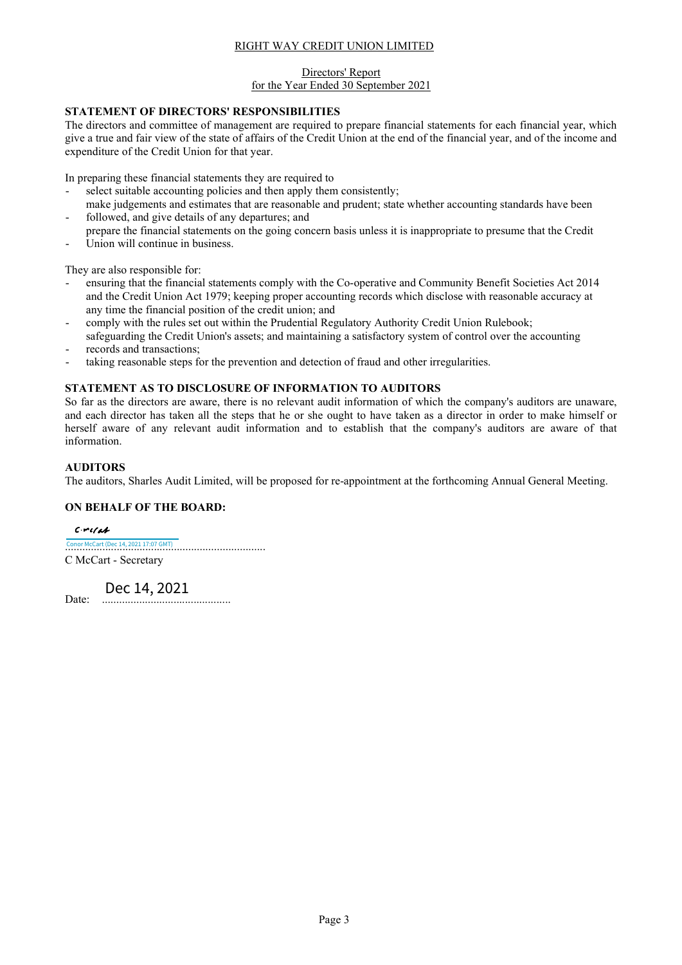#### Directors' Report for the Year Ended 30 September 2021

## STATEMENT OF DIRECTORS' RESPONSIBILITIES

The directors and committee of management are required to prepare financial statements for each financial year, which give a true and fair view of the state of affairs of the Credit Union at the end of the financial year, and of the income and expenditure of the Credit Union for that year.

In preparing these financial statements they are required to

- select suitable accounting policies and then apply them consistently;
- make judgements and estimates that are reasonable and prudent; state whether accounting standards have been followed, and give details of any departures; and
- prepare the financial statements on the going concern basis unless it is inappropriate to presume that the Credit Union will continue in business.

They are also responsible for:

- ensuring that the financial statements comply with the Co-operative and Community Benefit Societies Act 2014 and the Credit Union Act 1979; keeping proper accounting records which disclose with reasonable accuracy at any time the financial position of the credit union; and
- comply with the rules set out within the Prudential Regulatory Authority Credit Union Rulebook; safeguarding the Credit Union's assets; and maintaining a satisfactory system of control over the accounting
- records and transactions;
- taking reasonable steps for the prevention and detection of fraud and other irregularities.

## STATEMENT AS TO DISCLOSURE OF INFORMATION TO AUDITORS

So far as the directors are aware, there is no relevant audit information of which the company's auditors are unaware, and each director has taken all the steps that he or she ought to have taken as a director in order to make himself or herself aware of any relevant audit information and to establish that the company's auditors are aware of that information.

## AUDITORS

The auditors, Sharles Audit Limited, will be proposed for re-appointment at the forthcoming Annual General Meeting.

## ON BEHALF OF THE BOARD:

 $C$ - $r$ c/ab [.................................................................](https://sharles-ca.eu1.echosign.com/verifier?tx=CBJCHBCAABAAlM-Jp6YP2F6YZcGWQmtPmpJ4zelI_9MC)..... Conor McCart (Dec 14, 2021 17:07 GMT) C McCart - Secretary

Date: ............................................. Dec 14, 2021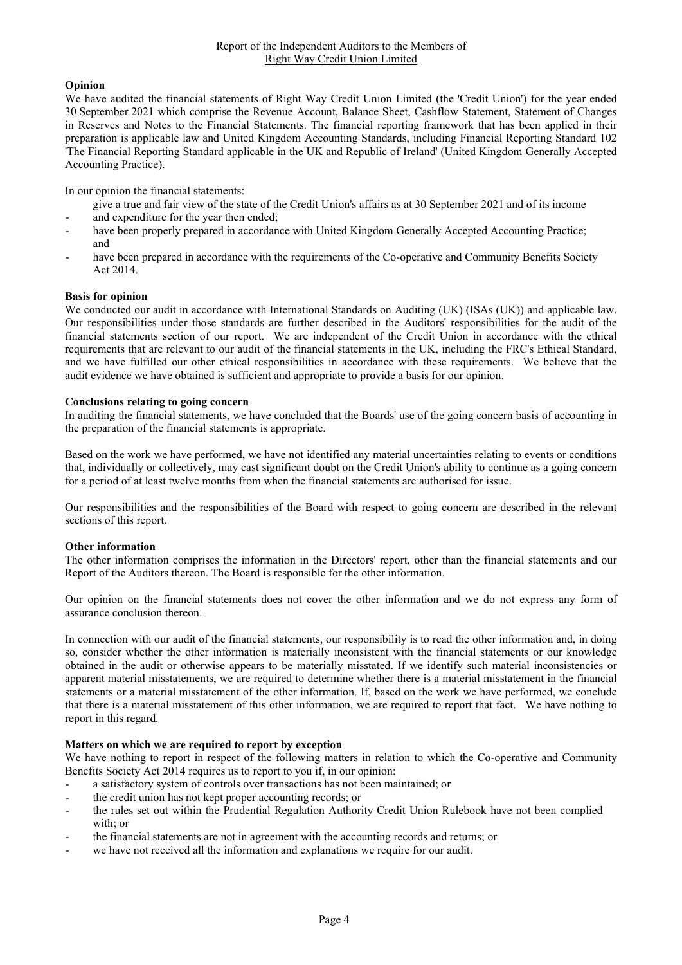## Opinion

We have audited the financial statements of Right Way Credit Union Limited (the 'Credit Union') for the year ended 30 September 2021 which comprise the Revenue Account, Balance Sheet, Cashflow Statement, Statement of Changes in Reserves and Notes to the Financial Statements. The financial reporting framework that has been applied in their preparation is applicable law and United Kingdom Accounting Standards, including Financial Reporting Standard 102 'The Financial Reporting Standard applicable in the UK and Republic of Ireland' (United Kingdom Generally Accepted Accounting Practice).

In our opinion the financial statements:

- give a true and fair view of the state of the Credit Union's affairs as at 30 September 2021 and of its income
- and expenditure for the year then ended;
- have been properly prepared in accordance with United Kingdom Generally Accepted Accounting Practice; and
- have been prepared in accordance with the requirements of the Co-operative and Community Benefits Society Act 2014.

## Basis for opinion

We conducted our audit in accordance with International Standards on Auditing (UK) (ISAs (UK)) and applicable law. Our responsibilities under those standards are further described in the Auditors' responsibilities for the audit of the financial statements section of our report. We are independent of the Credit Union in accordance with the ethical requirements that are relevant to our audit of the financial statements in the UK, including the FRC's Ethical Standard, and we have fulfilled our other ethical responsibilities in accordance with these requirements. We believe that the audit evidence we have obtained is sufficient and appropriate to provide a basis for our opinion.

## Conclusions relating to going concern

In auditing the financial statements, we have concluded that the Boards' use of the going concern basis of accounting in the preparation of the financial statements is appropriate.

Based on the work we have performed, we have not identified any material uncertainties relating to events or conditions that, individually or collectively, may cast significant doubt on the Credit Union's ability to continue as a going concern for a period of at least twelve months from when the financial statements are authorised for issue.

Our responsibilities and the responsibilities of the Board with respect to going concern are described in the relevant sections of this report.

## Other information

The other information comprises the information in the Directors' report, other than the financial statements and our Report of the Auditors thereon. The Board is responsible for the other information.

Our opinion on the financial statements does not cover the other information and we do not express any form of assurance conclusion thereon.

In connection with our audit of the financial statements, our responsibility is to read the other information and, in doing so, consider whether the other information is materially inconsistent with the financial statements or our knowledge obtained in the audit or otherwise appears to be materially misstated. If we identify such material inconsistencies or apparent material misstatements, we are required to determine whether there is a material misstatement in the financial statements or a material misstatement of the other information. If, based on the work we have performed, we conclude that there is a material misstatement of this other information, we are required to report that fact. We have nothing to report in this regard.

## Matters on which we are required to report by exception

We have nothing to report in respect of the following matters in relation to which the Co-operative and Community Benefits Society Act 2014 requires us to report to you if, in our opinion:

- a satisfactory system of controls over transactions has not been maintained; or
- the credit union has not kept proper accounting records; or
- the rules set out within the Prudential Regulation Authority Credit Union Rulebook have not been complied with; or
- the financial statements are not in agreement with the accounting records and returns; or
- we have not received all the information and explanations we require for our audit.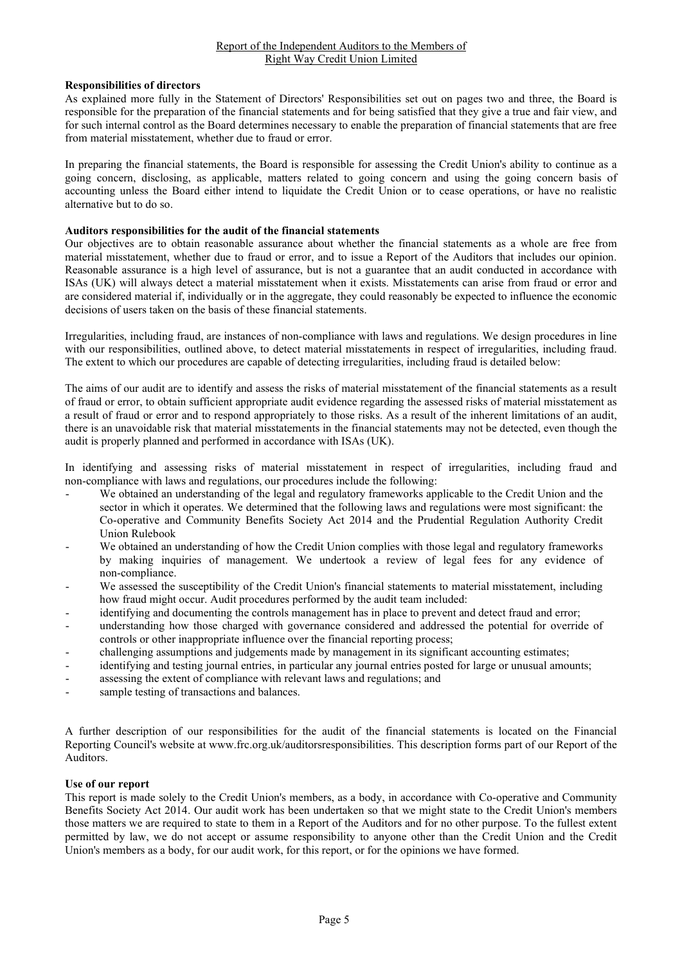## Report of the Independent Auditors to the Members of Right Way Credit Union Limited

## Responsibilities of directors

As explained more fully in the Statement of Directors' Responsibilities set out on pages two and three, the Board is responsible for the preparation of the financial statements and for being satisfied that they give a true and fair view, and for such internal control as the Board determines necessary to enable the preparation of financial statements that are free from material misstatement, whether due to fraud or error.

In preparing the financial statements, the Board is responsible for assessing the Credit Union's ability to continue as a going concern, disclosing, as applicable, matters related to going concern and using the going concern basis of accounting unless the Board either intend to liquidate the Credit Union or to cease operations, or have no realistic alternative but to do so.

## Auditors responsibilities for the audit of the financial statements

Our objectives are to obtain reasonable assurance about whether the financial statements as a whole are free from material misstatement, whether due to fraud or error, and to issue a Report of the Auditors that includes our opinion. Reasonable assurance is a high level of assurance, but is not a guarantee that an audit conducted in accordance with ISAs (UK) will always detect a material misstatement when it exists. Misstatements can arise from fraud or error and are considered material if, individually or in the aggregate, they could reasonably be expected to influence the economic decisions of users taken on the basis of these financial statements.

Irregularities, including fraud, are instances of non-compliance with laws and regulations. We design procedures in line with our responsibilities, outlined above, to detect material misstatements in respect of irregularities, including fraud. The extent to which our procedures are capable of detecting irregularities, including fraud is detailed below:

The aims of our audit are to identify and assess the risks of material misstatement of the financial statements as a result of fraud or error, to obtain sufficient appropriate audit evidence regarding the assessed risks of material misstatement as a result of fraud or error and to respond appropriately to those risks. As a result of the inherent limitations of an audit, there is an unavoidable risk that material misstatements in the financial statements may not be detected, even though the audit is properly planned and performed in accordance with ISAs (UK).

In identifying and assessing risks of material misstatement in respect of irregularities, including fraud and non-compliance with laws and regulations, our procedures include the following:

- We obtained an understanding of the legal and regulatory frameworks applicable to the Credit Union and the sector in which it operates. We determined that the following laws and regulations were most significant: the Co-operative and Community Benefits Society Act 2014 and the Prudential Regulation Authority Credit Union Rulebook
- We obtained an understanding of how the Credit Union complies with those legal and regulatory frameworks by making inquiries of management. We undertook a review of legal fees for any evidence of non-compliance.
- We assessed the susceptibility of the Credit Union's financial statements to material misstatement, including how fraud might occur. Audit procedures performed by the audit team included:
- identifying and documenting the controls management has in place to prevent and detect fraud and error;
- understanding how those charged with governance considered and addressed the potential for override of controls or other inappropriate influence over the financial reporting process;
- challenging assumptions and judgements made by management in its significant accounting estimates;
- identifying and testing journal entries, in particular any journal entries posted for large or unusual amounts;
- assessing the extent of compliance with relevant laws and regulations; and
- sample testing of transactions and balances.

A further description of our responsibilities for the audit of the financial statements is located on the Financial Reporting Council's website at www.frc.org.uk/auditorsresponsibilities. This description forms part of our Report of the Auditors.

## Use of our report

This report is made solely to the Credit Union's members, as a body, in accordance with Co-operative and Community Benefits Society Act 2014. Our audit work has been undertaken so that we might state to the Credit Union's members those matters we are required to state to them in a Report of the Auditors and for no other purpose. To the fullest extent permitted by law, we do not accept or assume responsibility to anyone other than the Credit Union and the Credit Union's members as a body, for our audit work, for this report, or for the opinions we have formed.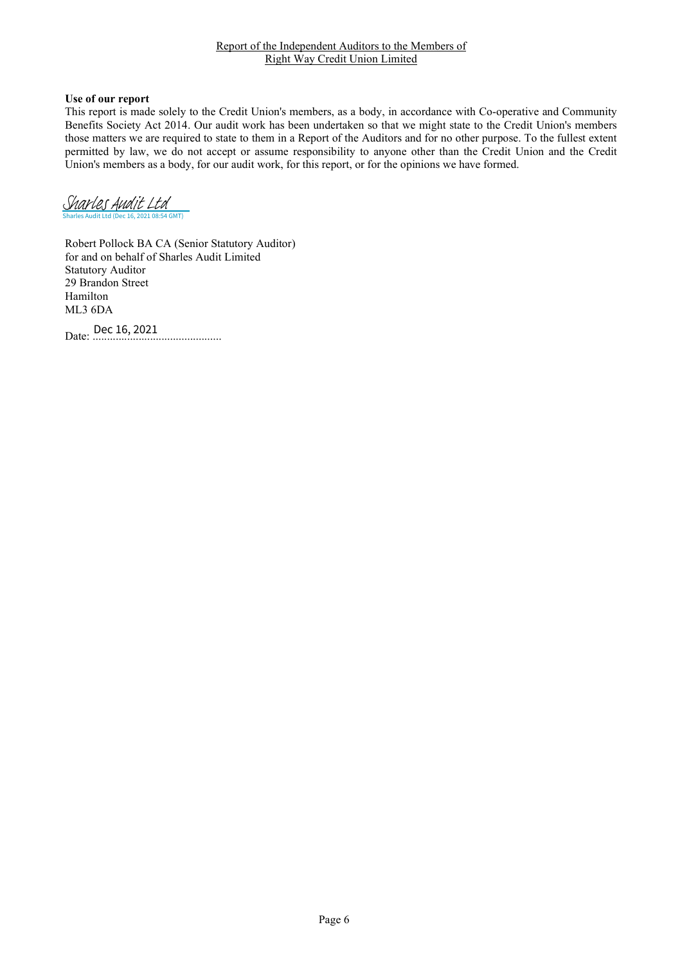#### Report of the Independent Auditors to the Members of Right Way Credit Union Limited

## Use of our report

This report is made solely to the Credit Union's members, as a body, in accordance with Co-operative and Community Benefits Society Act 2014. Our audit work has been undertaken so that we might state to the Credit Union's members those matters we are required to state to them in a Report of the Auditors and for no other purpose. To the fullest extent permitted by law, we do not accept or assume responsibility to anyone other than the Credit Union and the Credit Union's members as a body, for our audit work, for this report, or for the opinions we have formed.

Sharles Audit Ltd (Dec 16, 2021 08:54 GMT) [Sharles Audit Ltd](https://sharles-ca.eu1.echosign.com/verifier?tx=CBJCHBCAABAAlM-Jp6YP2F6YZcGWQmtPmpJ4zelI_9MC)

Robert Pollock BA CA (Senior Statutory Auditor) for and on behalf of Sharles Audit Limited Statutory Auditor 29 Brandon Street Hamilton ML3 6DA

Date: ............................................. Dec 16, 2021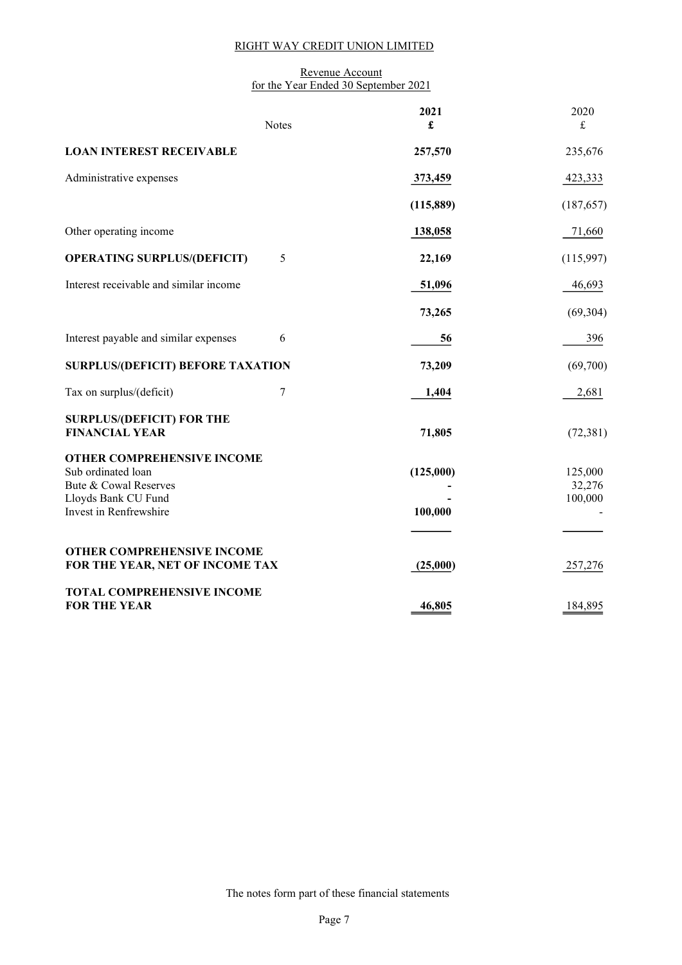#### Revenue Account for the Year Ended 30 September 2021

|                                                                                  | <b>Notes</b> | 2021<br>£ | 2020<br>£         |
|----------------------------------------------------------------------------------|--------------|-----------|-------------------|
| <b>LOAN INTEREST RECEIVABLE</b>                                                  |              | 257,570   | 235,676           |
| Administrative expenses                                                          |              | 373,459   | 423,333           |
|                                                                                  |              | (115,889) | (187, 657)        |
| Other operating income                                                           |              | 138,058   | 71,660            |
| <b>OPERATING SURPLUS/(DEFICIT)</b>                                               | 5            | 22,169    | (115,997)         |
| Interest receivable and similar income                                           |              | 51,096    | 46,693            |
|                                                                                  |              | 73,265    | (69, 304)         |
| Interest payable and similar expenses                                            | 6            | 56        | 396               |
| <b>SURPLUS/(DEFICIT) BEFORE TAXATION</b>                                         |              | 73,209    | (69,700)          |
| Tax on surplus/(deficit)                                                         | 7            | 1,404     | 2,681             |
| <b>SURPLUS/(DEFICIT) FOR THE</b><br><b>FINANCIAL YEAR</b>                        |              | 71,805    | (72, 381)         |
| <b>OTHER COMPREHENSIVE INCOME</b><br>Sub ordinated loan<br>Bute & Cowal Reserves |              | (125,000) | 125,000<br>32,276 |
| Lloyds Bank CU Fund<br>Invest in Renfrewshire                                    |              | 100,000   | 100,000           |
|                                                                                  |              |           |                   |
| OTHER COMPREHENSIVE INCOME<br>FOR THE YEAR, NET OF INCOME TAX                    |              | (25,000)  | 257,276           |
| <b>TOTAL COMPREHENSIVE INCOME</b><br><b>FOR THE YEAR</b>                         |              | 46,805    | 184,895           |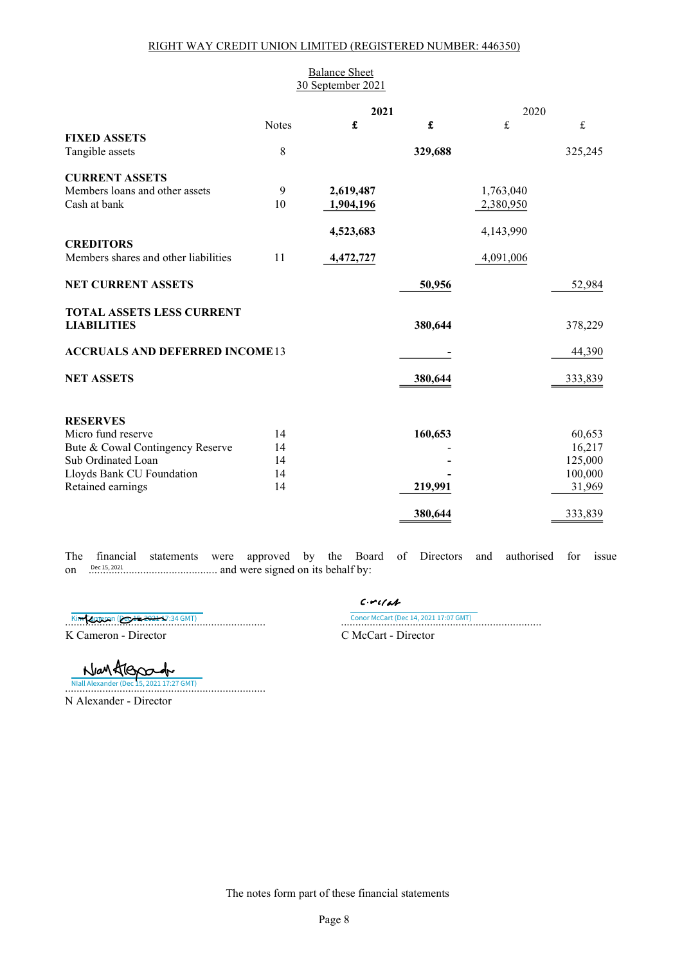## RIGHT WAY CREDIT UNION LIMITED (REGISTERED NUMBER: 446350)

| <b>Balance Sheet</b><br>30 September 2021              |              |           |         |           |                  |
|--------------------------------------------------------|--------------|-----------|---------|-----------|------------------|
|                                                        |              | 2021      |         | 2020      |                  |
|                                                        | <b>Notes</b> | £         | £       | $\pounds$ | $\pounds$        |
| <b>FIXED ASSETS</b><br>Tangible assets                 | 8            |           | 329,688 |           | 325,245          |
|                                                        |              |           |         |           |                  |
| <b>CURRENT ASSETS</b>                                  |              |           |         |           |                  |
| Members loans and other assets                         | 9            | 2,619,487 |         | 1,763,040 |                  |
| Cash at bank                                           | 10           | 1,904,196 |         | 2,380,950 |                  |
|                                                        |              |           |         |           |                  |
|                                                        |              | 4,523,683 |         | 4,143,990 |                  |
| <b>CREDITORS</b>                                       |              |           |         |           |                  |
| Members shares and other liabilities                   | 11           | 4,472,727 |         | 4,091,006 |                  |
| <b>NET CURRENT ASSETS</b>                              |              |           | 50,956  |           | 52,984           |
| <b>TOTAL ASSETS LESS CURRENT</b><br><b>LIABILITIES</b> |              |           | 380,644 |           | 378,229          |
|                                                        |              |           |         |           |                  |
| <b>ACCRUALS AND DEFERRED INCOME13</b>                  |              |           |         |           | 44,390           |
| <b>NET ASSETS</b>                                      |              |           | 380,644 |           | 333,839          |
|                                                        |              |           |         |           |                  |
| <b>RESERVES</b>                                        | 14           |           |         |           |                  |
| Micro fund reserve<br>Bute & Cowal Contingency Reserve | 14           |           | 160,653 |           | 60,653<br>16,217 |
| Sub Ordinated Loan                                     | 14           |           |         |           | 125,000          |
| Lloyds Bank CU Foundation                              | 14           |           |         |           | 100,000          |
| Retained earnings                                      | 14           |           | 219,991 |           | 31,969           |
|                                                        |              |           |         |           |                  |
|                                                        |              |           | 380,644 |           | 333,839          |

The financial statements were approved by the Board of Directors and authorised for issue on ............................................. and were signed on its behalf by: Dec 15, 2021

K Cameron - Director C McCart - Director

 $C$ - $r$  $d$ Conor McCart (Dec 14, 2021 17:07 GMT) ..[................................................................](https://sharles-ca.eu1.echosign.com/verifier?tx=CBJCHBCAABAAlM-Jp6YP2F6YZcGWQmtPmpJ4zelI_9MC).... ...[.............................................................](https://sharles-ca.eu1.echosign.com/verifier?tx=CBJCHBCAABAAlM-Jp6YP2F6YZcGWQmtPmpJ4zelI_9MC)...... Kim Cameron (Dec 15, 2021 17:34 GMT)

Nantlessade ..[...............................................................](https://secure.eu1.adobesign.com/verifier?tx=CBJCHBCAABAAlM-Jp6YP2F6YZcGWQmtPmpJ4zelI_9MC)..... NIall Alexander (Dec 15, 2021 17:27 GMT)

N Alexander - Director

The notes form part of these financial statements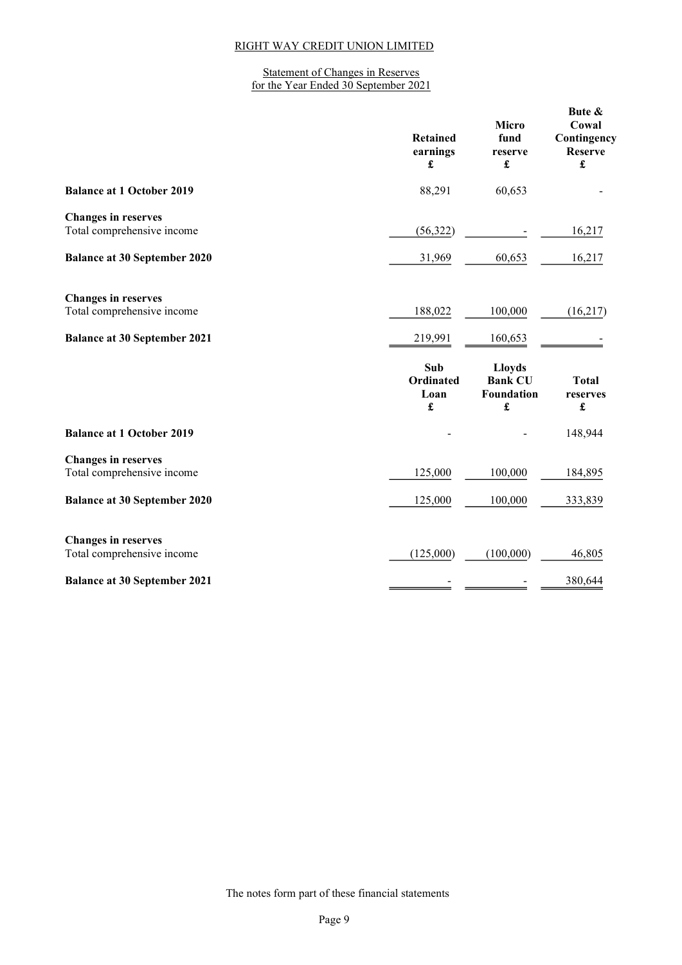#### Statement of Changes in Reserves for the Year Ended 30 September 2021

|                                                                                                 | <b>Retained</b><br>earnings<br>£     | <b>Micro</b><br>fund<br>reserve<br>£               | Bute &<br>Cowal<br>Contingency<br><b>Reserve</b><br>$\pmb{\mathfrak{L}}$ |
|-------------------------------------------------------------------------------------------------|--------------------------------------|----------------------------------------------------|--------------------------------------------------------------------------|
| <b>Balance at 1 October 2019</b>                                                                | 88,291                               | 60,653                                             |                                                                          |
| <b>Changes in reserves</b><br>Total comprehensive income                                        | (56, 322)                            |                                                    | 16,217                                                                   |
| <b>Balance at 30 September 2020</b>                                                             | 31,969                               | 60,653                                             | 16,217                                                                   |
| <b>Changes in reserves</b><br>Total comprehensive income<br><b>Balance at 30 September 2021</b> | 188,022<br>219,991                   | 100,000<br>160,653                                 | (16, 217)                                                                |
|                                                                                                 | Sub<br><b>Ordinated</b><br>Loan<br>£ | <b>Lloyds</b><br><b>Bank CU</b><br>Foundation<br>£ | <b>Total</b><br>reserves<br>$\pmb{\mathfrak{L}}$                         |
| <b>Balance at 1 October 2019</b>                                                                |                                      |                                                    | 148,944                                                                  |
| <b>Changes in reserves</b><br>Total comprehensive income                                        | 125,000                              | 100,000                                            | 184,895                                                                  |
| <b>Balance at 30 September 2020</b>                                                             | 125,000                              | 100,000                                            | 333,839                                                                  |
| <b>Changes in reserves</b><br>Total comprehensive income<br><b>Balance at 30 September 2021</b> | (125,000)                            | (100,000)                                          | 46,805<br>380,644                                                        |
|                                                                                                 |                                      |                                                    |                                                                          |

The notes form part of these financial statements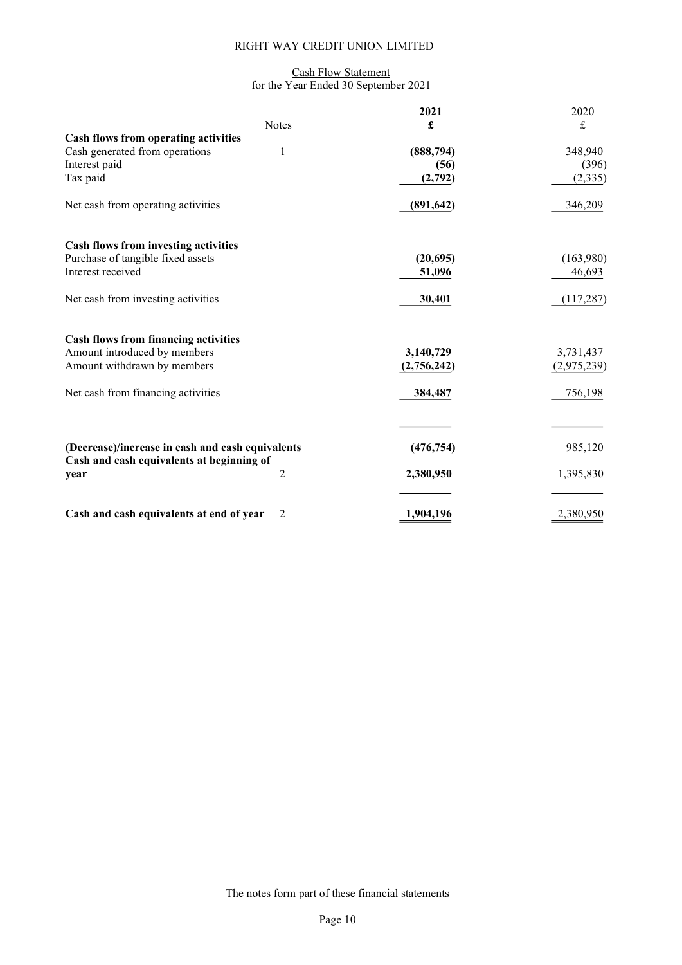## Cash Flow Statement for the Year Ended 30 September 2021

|                                                  |                | 2021        | 2020        |
|--------------------------------------------------|----------------|-------------|-------------|
|                                                  | <b>Notes</b>   | £           | $\pounds$   |
| Cash flows from operating activities             |                |             |             |
| Cash generated from operations                   | 1              | (888,794)   | 348,940     |
| Interest paid                                    |                | (56)        | (396)       |
| Tax paid                                         |                | (2,792)     | (2, 335)    |
| Net cash from operating activities               |                | (891, 642)  | 346,209     |
| <b>Cash flows from investing activities</b>      |                |             |             |
| Purchase of tangible fixed assets                |                | (20, 695)   | (163,980)   |
| Interest received                                |                | 51,096      | 46,693      |
|                                                  |                |             |             |
| Net cash from investing activities               |                | 30,401      | (117, 287)  |
| <b>Cash flows from financing activities</b>      |                |             |             |
| Amount introduced by members                     |                | 3,140,729   | 3,731,437   |
| Amount withdrawn by members                      |                | (2,756,242) | (2,975,239) |
|                                                  |                |             |             |
| Net cash from financing activities               |                | 384,487     | 756,198     |
|                                                  |                |             |             |
|                                                  |                |             |             |
| (Decrease)/increase in cash and cash equivalents |                | (476, 754)  | 985,120     |
| Cash and cash equivalents at beginning of        |                |             |             |
| year                                             | $\overline{c}$ | 2,380,950   | 1,395,830   |
|                                                  |                |             |             |
| Cash and cash equivalents at end of year         | $\overline{2}$ | 1,904,196   | 2,380,950   |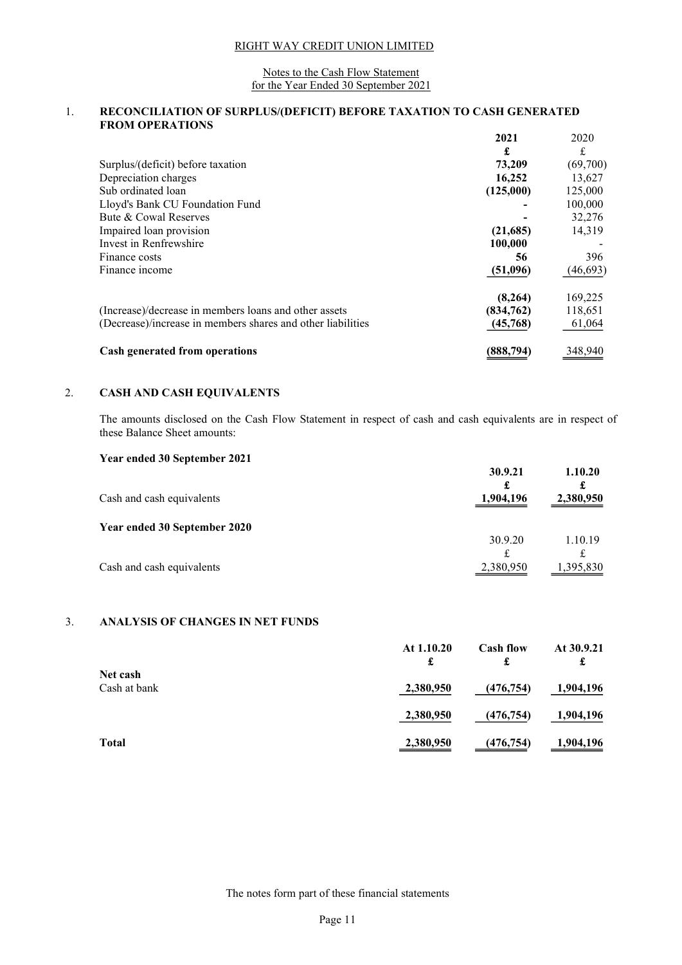#### Notes to the Cash Flow Statement for the Year Ended 30 September 2021

#### 1. RECONCILIATION OF SURPLUS/(DEFICIT) BEFORE TAXATION TO CASH GENERATED FROM OPERATIONS

|                                                             | 2021      | 2020      |
|-------------------------------------------------------------|-----------|-----------|
|                                                             | £         | £         |
| Surplus/(deficit) before taxation                           | 73,209    | (69,700)  |
| Depreciation charges                                        | 16,252    | 13,627    |
| Sub ordinated loan                                          | (125,000) | 125,000   |
| Lloyd's Bank CU Foundation Fund                             |           | 100,000   |
| Bute & Cowal Reserves                                       |           | 32,276    |
| Impaired loan provision                                     | (21,685)  | 14,319    |
| Invest in Renfrewshire                                      | 100,000   |           |
| Finance costs                                               | 56        | 396       |
| Finance income                                              | (51,096)  | (46, 693) |
|                                                             | (8,264)   | 169,225   |
| (Increase)/decrease in members loans and other assets       | (834,762) | 118,651   |
| (Decrease)/increase in members shares and other liabilities | (45,768)  | 61,064    |
| <b>Cash generated from operations</b>                       | (888,794) | 348,940   |

## 2. CASH AND CASH EQUIVALENTS

The amounts disclosed on the Cash Flow Statement in respect of cash and cash equivalents are in respect of these Balance Sheet amounts:

| Year ended 30 September 2021 | 30.9.21<br>£   | 1.10.20<br>£    |
|------------------------------|----------------|-----------------|
| Cash and cash equivalents    | 1,904,196      | 2,380,950       |
| Year ended 30 September 2020 |                |                 |
|                              | 30.9.20        | 1.10.19         |
| Cash and cash equivalents    | £<br>2,380,950 | £<br>395,830. ا |
|                              |                |                 |

## 3. ANALYSIS OF CHANGES IN NET FUNDS

|                          | At 1.10.20<br>£ | <b>Cash flow</b><br>£ | At 30.9.21<br>£ |
|--------------------------|-----------------|-----------------------|-----------------|
| Net cash<br>Cash at bank | 2,380,950       | (476, 754)            | 1,904,196       |
|                          | 2,380,950       | (476, 754)            | 1,904,196       |
| <b>Total</b>             | 2,380,950       | (476, 754)            | 1,904,196       |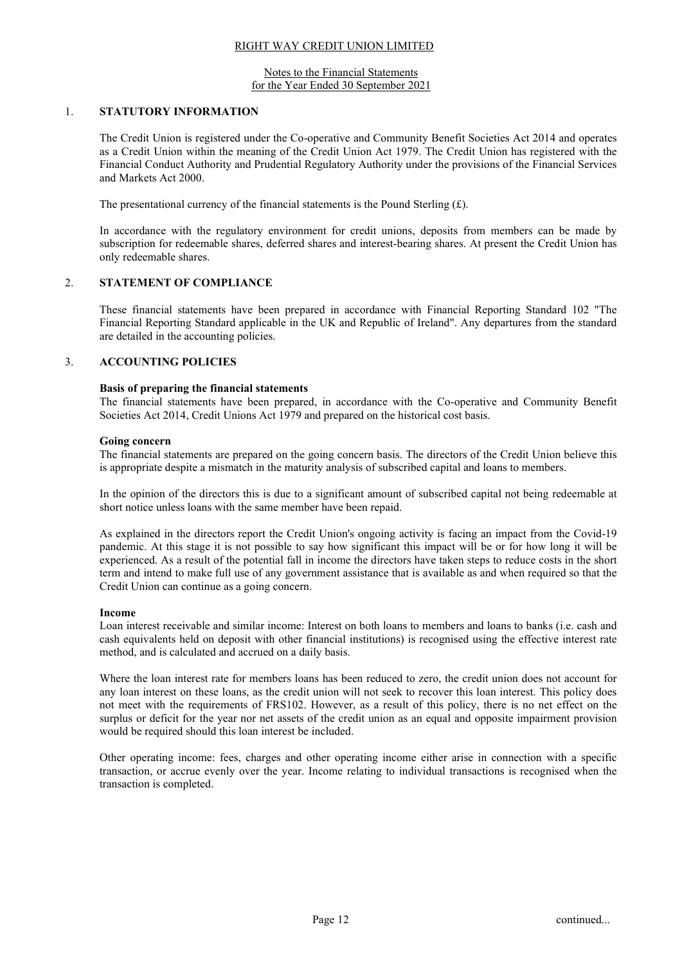#### Notes to the Financial Statements for the Year Ended 30 September 2021

#### 1. STATUTORY INFORMATION

The Credit Union is registered under the Co-operative and Community Benefit Societies Act 2014 and operates as a Credit Union within the meaning of the Credit Union Act 1979. The Credit Union has registered with the Financial Conduct Authority and Prudential Regulatory Authority under the provisions of the Financial Services and Markets Act 2000.

The presentational currency of the financial statements is the Pound Sterling  $(E)$ .

In accordance with the regulatory environment for credit unions, deposits from members can be made by subscription for redeemable shares, deferred shares and interest-bearing shares. At present the Credit Union has only redeemable shares.

## 2. STATEMENT OF COMPLIANCE

These financial statements have been prepared in accordance with Financial Reporting Standard 102 "The Financial Reporting Standard applicable in the UK and Republic of Ireland". Any departures from the standard are detailed in the accounting policies.

## 3. ACCOUNTING POLICIES

#### Basis of preparing the financial statements

The financial statements have been prepared, in accordance with the Co-operative and Community Benefit Societies Act 2014, Credit Unions Act 1979 and prepared on the historical cost basis.

#### Going concern

The financial statements are prepared on the going concern basis. The directors of the Credit Union believe this is appropriate despite a mismatch in the maturity analysis of subscribed capital and loans to members.

In the opinion of the directors this is due to a significant amount of subscribed capital not being redeemable at short notice unless loans with the same member have been repaid.

As explained in the directors report the Credit Union's ongoing activity is facing an impact from the Covid-19 pandemic. At this stage it is not possible to say how significant this impact will be or for how long it will be experienced. As a result of the potential fall in income the directors have taken steps to reduce costs in the short term and intend to make full use of any government assistance that is available as and when required so that the Credit Union can continue as a going concern.

#### Income

Loan interest receivable and similar income: Interest on both loans to members and loans to banks (i.e. cash and cash equivalents held on deposit with other financial institutions) is recognised using the effective interest rate method, and is calculated and accrued on a daily basis.

Where the loan interest rate for members loans has been reduced to zero, the credit union does not account for any loan interest on these loans, as the credit union will not seek to recover this loan interest. This policy does not meet with the requirements of FRS102. However, as a result of this policy, there is no net effect on the surplus or deficit for the year nor net assets of the credit union as an equal and opposite impairment provision would be required should this loan interest be included.

Other operating income: fees, charges and other operating income either arise in connection with a specific transaction, or accrue evenly over the year. Income relating to individual transactions is recognised when the transaction is completed.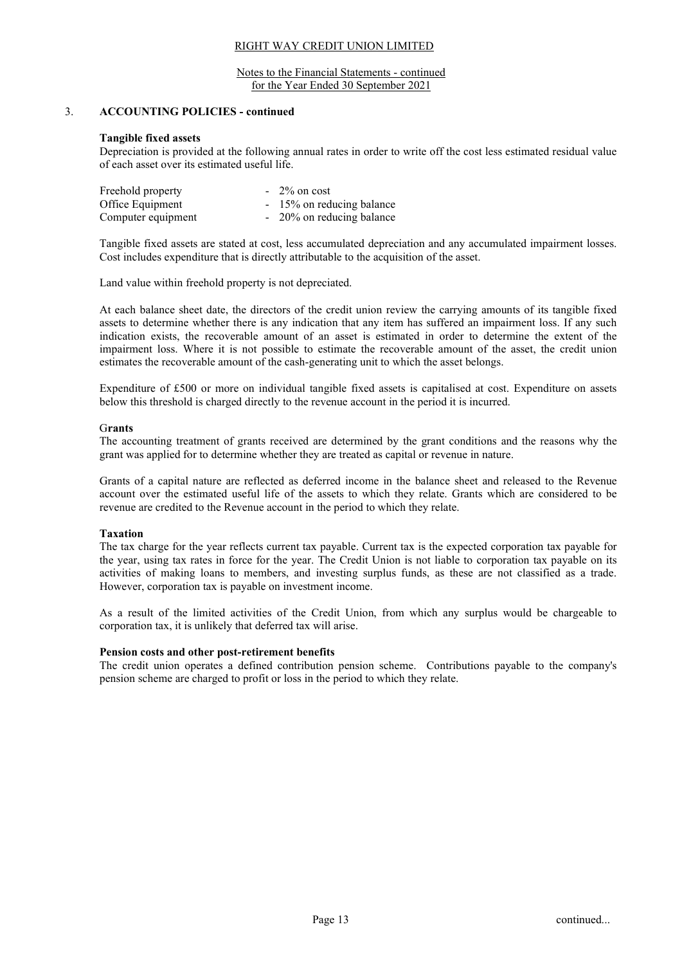#### Notes to the Financial Statements - continued for the Year Ended 30 September 2021

## 3. ACCOUNTING POLICIES - continued

#### Tangible fixed assets

Depreciation is provided at the following annual rates in order to write off the cost less estimated residual value of each asset over its estimated useful life.

| Freehold property  | $-2\%$ on cost            |
|--------------------|---------------------------|
| Office Equipment   | - 15% on reducing balance |
| Computer equipment | - 20% on reducing balance |

Tangible fixed assets are stated at cost, less accumulated depreciation and any accumulated impairment losses. Cost includes expenditure that is directly attributable to the acquisition of the asset.

Land value within freehold property is not depreciated.

At each balance sheet date, the directors of the credit union review the carrying amounts of its tangible fixed assets to determine whether there is any indication that any item has suffered an impairment loss. If any such indication exists, the recoverable amount of an asset is estimated in order to determine the extent of the impairment loss. Where it is not possible to estimate the recoverable amount of the asset, the credit union estimates the recoverable amount of the cash-generating unit to which the asset belongs.

Expenditure of £500 or more on individual tangible fixed assets is capitalised at cost. Expenditure on assets below this threshold is charged directly to the revenue account in the period it is incurred.

#### Grants

The accounting treatment of grants received are determined by the grant conditions and the reasons why the grant was applied for to determine whether they are treated as capital or revenue in nature.

Grants of a capital nature are reflected as deferred income in the balance sheet and released to the Revenue account over the estimated useful life of the assets to which they relate. Grants which are considered to be revenue are credited to the Revenue account in the period to which they relate.

## Taxation

The tax charge for the year reflects current tax payable. Current tax is the expected corporation tax payable for the year, using tax rates in force for the year. The Credit Union is not liable to corporation tax payable on its activities of making loans to members, and investing surplus funds, as these are not classified as a trade. However, corporation tax is payable on investment income.

As a result of the limited activities of the Credit Union, from which any surplus would be chargeable to corporation tax, it is unlikely that deferred tax will arise.

## Pension costs and other post-retirement benefits

The credit union operates a defined contribution pension scheme. Contributions payable to the company's pension scheme are charged to profit or loss in the period to which they relate.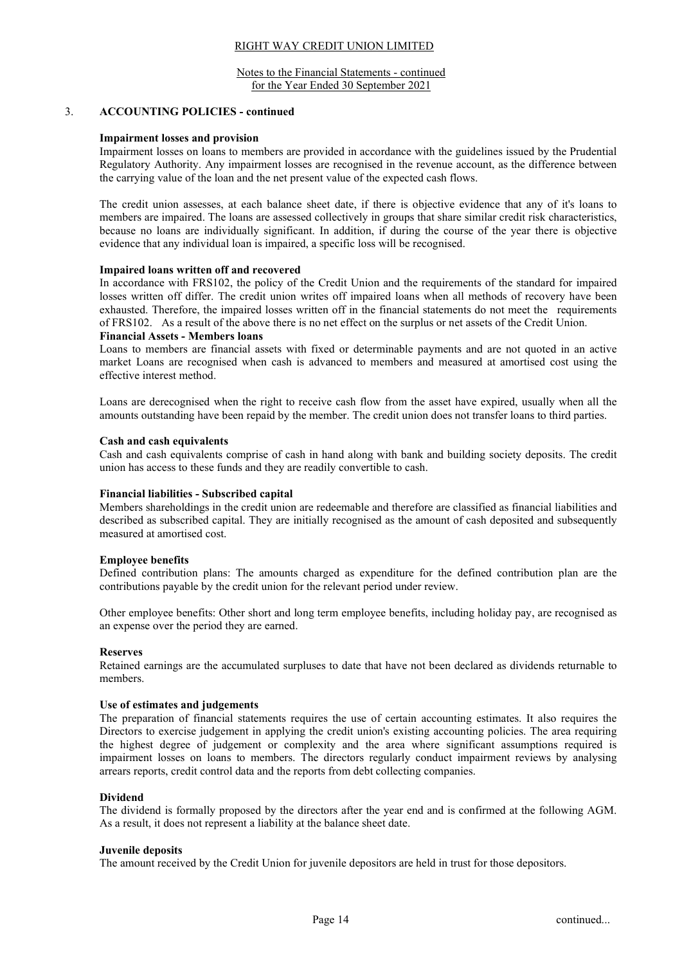#### Notes to the Financial Statements - continued for the Year Ended 30 September 2021

#### 3. ACCOUNTING POLICIES - continued

#### Impairment losses and provision

Impairment losses on loans to members are provided in accordance with the guidelines issued by the Prudential Regulatory Authority. Any impairment losses are recognised in the revenue account, as the difference between the carrying value of the loan and the net present value of the expected cash flows.

The credit union assesses, at each balance sheet date, if there is objective evidence that any of it's loans to members are impaired. The loans are assessed collectively in groups that share similar credit risk characteristics, because no loans are individually significant. In addition, if during the course of the year there is objective evidence that any individual loan is impaired, a specific loss will be recognised.

#### Impaired loans written off and recovered

In accordance with FRS102, the policy of the Credit Union and the requirements of the standard for impaired losses written off differ. The credit union writes off impaired loans when all methods of recovery have been exhausted. Therefore, the impaired losses written off in the financial statements do not meet the requirements of FRS102. As a result of the above there is no net effect on the surplus or net assets of the Credit Union.

## Financial Assets - Members loans

Loans to members are financial assets with fixed or determinable payments and are not quoted in an active market Loans are recognised when cash is advanced to members and measured at amortised cost using the effective interest method.

Loans are derecognised when the right to receive cash flow from the asset have expired, usually when all the amounts outstanding have been repaid by the member. The credit union does not transfer loans to third parties.

#### Cash and cash equivalents

Cash and cash equivalents comprise of cash in hand along with bank and building society deposits. The credit union has access to these funds and they are readily convertible to cash.

#### Financial liabilities - Subscribed capital

Members shareholdings in the credit union are redeemable and therefore are classified as financial liabilities and described as subscribed capital. They are initially recognised as the amount of cash deposited and subsequently measured at amortised cost.

#### Employee benefits

Defined contribution plans: The amounts charged as expenditure for the defined contribution plan are the contributions payable by the credit union for the relevant period under review.

Other employee benefits: Other short and long term employee benefits, including holiday pay, are recognised as an expense over the period they are earned.

#### Reserves

Retained earnings are the accumulated surpluses to date that have not been declared as dividends returnable to members.

#### Use of estimates and judgements

The preparation of financial statements requires the use of certain accounting estimates. It also requires the Directors to exercise judgement in applying the credit union's existing accounting policies. The area requiring the highest degree of judgement or complexity and the area where significant assumptions required is impairment losses on loans to members. The directors regularly conduct impairment reviews by analysing arrears reports, credit control data and the reports from debt collecting companies.

#### Dividend

The dividend is formally proposed by the directors after the year end and is confirmed at the following AGM. As a result, it does not represent a liability at the balance sheet date.

#### Juvenile deposits

The amount received by the Credit Union for juvenile depositors are held in trust for those depositors.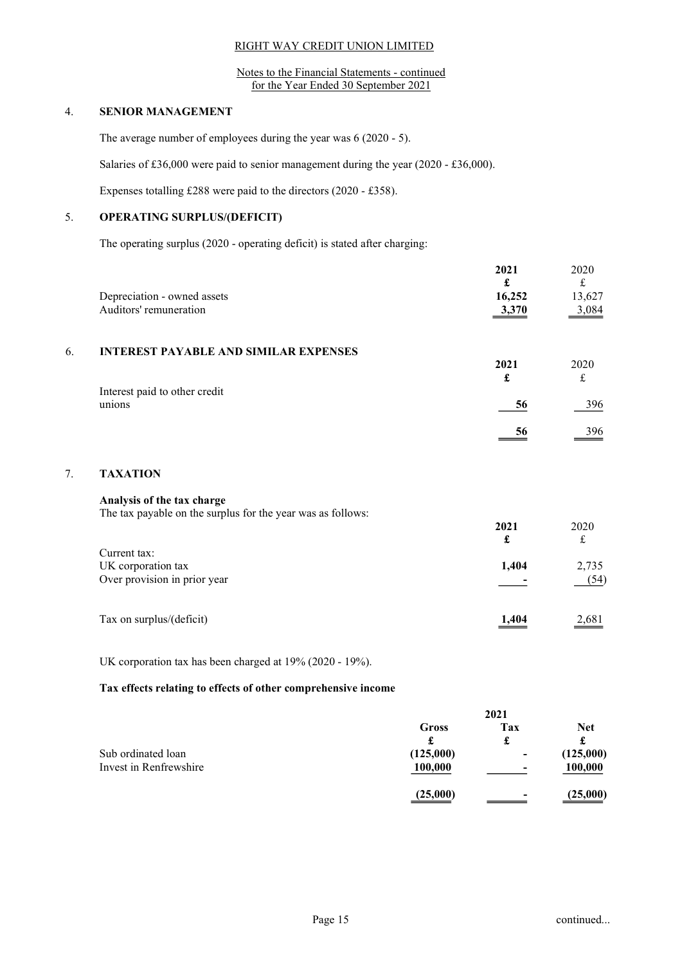Notes to the Financial Statements - continued for the Year Ended 30 September 2021

## 4. SENIOR MANAGEMENT

7. TAXATION

The average number of employees during the year was 6 (2020 - 5).

Salaries of £36,000 were paid to senior management during the year (2020 - £36,000).

Expenses totalling £288 were paid to the directors (2020 - £358).

## 5. OPERATING SURPLUS/(DEFICIT)

The operating surplus (2020 - operating deficit) is stated after charging:

|    | Depreciation - owned assets<br>Auditors' remuneration       | 2021<br>£<br>16,252<br>3,370 | 2020<br>$\pounds$<br>13,627<br>3,084 |
|----|-------------------------------------------------------------|------------------------------|--------------------------------------|
| 6. | <b>INTEREST PAYABLE AND SIMILAR EXPENSES</b>                |                              |                                      |
|    |                                                             | 2021                         | 2020                                 |
|    | Interest paid to other credit                               | £                            | $\pounds$                            |
|    | unions                                                      | 56                           | 396                                  |
|    |                                                             | 56                           | 396                                  |
| 7. | <b>TAXATION</b>                                             |                              |                                      |
|    | Analysis of the tax charge                                  |                              |                                      |
|    | The tax payable on the surplus for the year was as follows: |                              |                                      |
|    |                                                             | 2021                         | 2020                                 |
|    |                                                             | £                            | $\pounds$                            |
|    | Current tax:<br>UK corporation tax                          | 1,404                        | 2,735                                |
|    | Over provision in prior year                                |                              | (54)                                 |
|    | Tax on surplus/(deficit)                                    | 1,404                        | 2,681                                |

UK corporation tax has been charged at 19% (2020 - 19%).

#### Tax effects relating to effects of other comprehensive income

|                        | 2021      |                          |            |
|------------------------|-----------|--------------------------|------------|
|                        | Gross     | Tax                      | <b>Net</b> |
|                        | £         | d.                       |            |
| Sub ordinated loan     | (125,000) | $\overline{\phantom{0}}$ | (125,000)  |
| Invest in Renfrewshire | 100,000   | $\overline{\phantom{0}}$ | 100,000    |
|                        | (25,000)  | $\overline{\phantom{0}}$ | (25,000)   |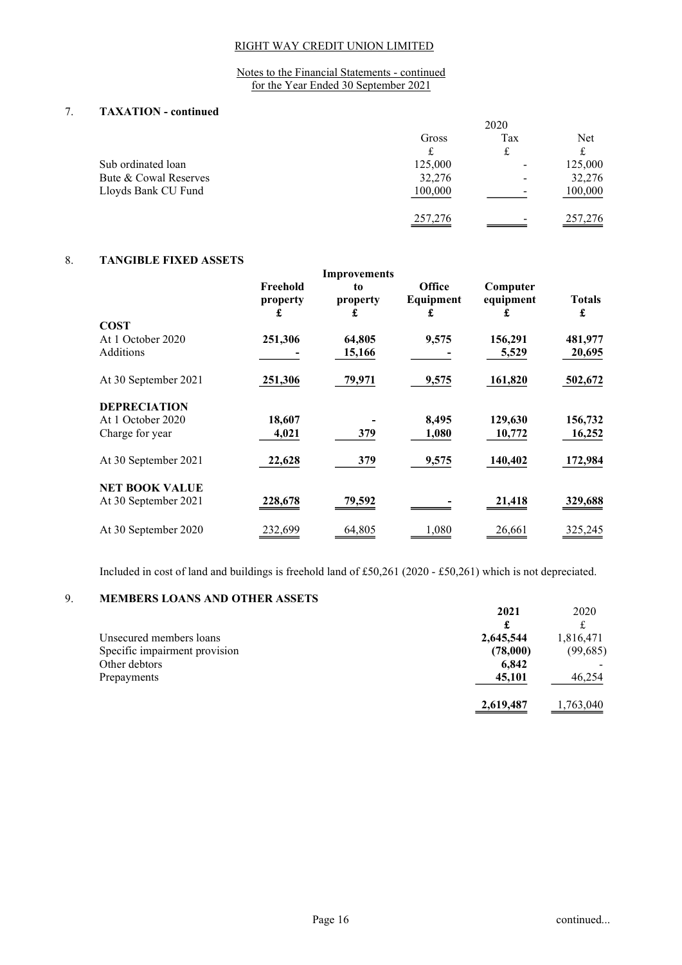Notes to the Financial Statements - continued for the Year Ended 30 September 2021

## 7. TAXATION - continued

|                       | 2020    |                          |                           |
|-----------------------|---------|--------------------------|---------------------------|
|                       | Gross   | Tax                      | Net                       |
|                       |         |                          |                           |
| Sub ordinated loan    | 125,000 | -                        | 125,000                   |
| Bute & Cowal Reserves | 32,276  | $\overline{\phantom{0}}$ | 32,276                    |
| Lloyds Bank CU Fund   | 100,000 | -                        | 100,000                   |
|                       | 257,276 | -                        | $\frac{257,276}{257,276}$ |

## 8. TANGIBLE FIXED ASSETS

|                       |                           | Improvements        |                          |                       |                    |
|-----------------------|---------------------------|---------------------|--------------------------|-----------------------|--------------------|
|                       | Freehold<br>property<br>£ | to<br>property<br>£ | Office<br>Equipment<br>£ | Computer<br>equipment | <b>Totals</b><br>£ |
| <b>COST</b>           |                           |                     |                          |                       |                    |
| At 1 October 2020     | 251,306                   | 64,805              | 9,575                    | 156,291               | 481,977            |
| Additions             |                           | 15,166              |                          | 5,529                 | 20,695             |
| At 30 September 2021  | 251,306                   | 79,971              | 9,575                    | 161,820               | 502,672            |
| <b>DEPRECIATION</b>   |                           |                     |                          |                       |                    |
| At 1 October 2020     | 18,607                    |                     | 8,495                    | 129,630               | 156,732            |
| Charge for year       | 4,021                     | 379                 | 1,080                    | 10,772                | 16,252             |
| At 30 September 2021  | 22,628                    | 379                 | 9,575                    | 140,402               | 172,984            |
| <b>NET BOOK VALUE</b> |                           |                     |                          |                       |                    |
| At 30 September 2021  | 228,678                   | 79,592              |                          | 21,418                | 329,688            |
| At 30 September 2020  | 232.699                   | 64,805              | 1,080                    | 26,661                | 325,245            |
|                       |                           |                     |                          |                       |                    |

Included in cost of land and buildings is freehold land of £50,261 (2020 - £50,261) which is not depreciated.

## 9. MEMBERS LOANS AND OTHER ASSETS

| <u>.</u> | <u>MERINDERS EVITING IT DO THEIR INSETS</u> |           |           |
|----------|---------------------------------------------|-----------|-----------|
|          |                                             | 2021      | 2020      |
|          |                                             | £         |           |
|          | Unsecured members loans                     | 2,645,544 | 1,816,471 |
|          | Specific impairment provision               | (78,000)  | (99,685)  |
|          | Other debtors                               | 6,842     |           |
|          | Prepayments                                 | 45,101    | 46,254    |
|          |                                             | 2,619,487 | 1,763,040 |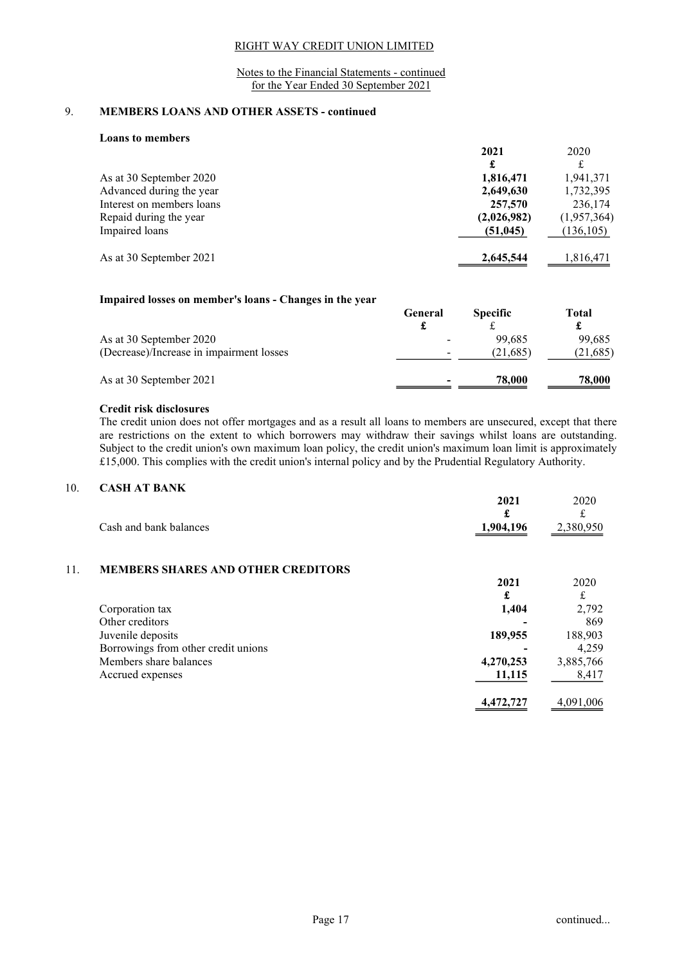Notes to the Financial Statements - continued for the Year Ended 30 September 2021

## 9. MEMBERS LOANS AND OTHER ASSETS - continued

| поану го піснірсі у       |             |             |
|---------------------------|-------------|-------------|
|                           | 2021        | 2020        |
|                           | £           | £           |
| As at 30 September 2020   | 1,816,471   | 1,941,371   |
| Advanced during the year  | 2,649,630   | 1,732,395   |
| Interest on members loans | 257,570     | 236,174     |
| Repaid during the year    | (2,026,982) | (1,957,364) |
| Impaired loans            | (51, 045)   | (136, 105)  |
| As at 30 September 2021   | 2,645,544   | 1,816,471   |

#### Impaired losses on member's loans - Changes in the year

|                                          | <b>General</b>           | <b>Specific</b> | Total    |
|------------------------------------------|--------------------------|-----------------|----------|
|                                          |                          |                 |          |
| As at 30 September 2020                  | $\overline{\phantom{0}}$ | 99.685          | 99.685   |
| (Decrease)/Increase in impairment losses | -                        | (21,685)        | (21,685) |
| As at 30 September 2021                  | $\overline{\phantom{a}}$ | 78,000          | 78,000   |

#### Credit risk disclosures

Loans to members

The credit union does not offer mortgages and as a result all loans to members are unsecured, except that there are restrictions on the extent to which borrowers may withdraw their savings whilst loans are outstanding. Subject to the credit union's own maximum loan policy, the credit union's maximum loan limit is approximately £15,000. This complies with the credit union's internal policy and by the Prudential Regulatory Authority.

## 10. CASH AT BANK

|     |                                           | 2021<br>£ | 2020<br>£ |
|-----|-------------------------------------------|-----------|-----------|
|     | Cash and bank balances                    | 1,904,196 | 2,380,950 |
| 11. | <b>MEMBERS SHARES AND OTHER CREDITORS</b> |           |           |
|     |                                           | 2021      | 2020      |
|     |                                           | £         | £         |
|     | Corporation tax                           | 1,404     | 2,792     |
|     | Other creditors                           |           | 869       |
|     | Juvenile deposits                         | 189,955   | 188,903   |
|     | Borrowings from other credit unions       |           | 4,259     |
|     | Members share balances                    | 4,270,253 | 3,885,766 |
|     | Accrued expenses                          | 11,115    | 8,417     |
|     |                                           | 4,472,727 | 4,091,006 |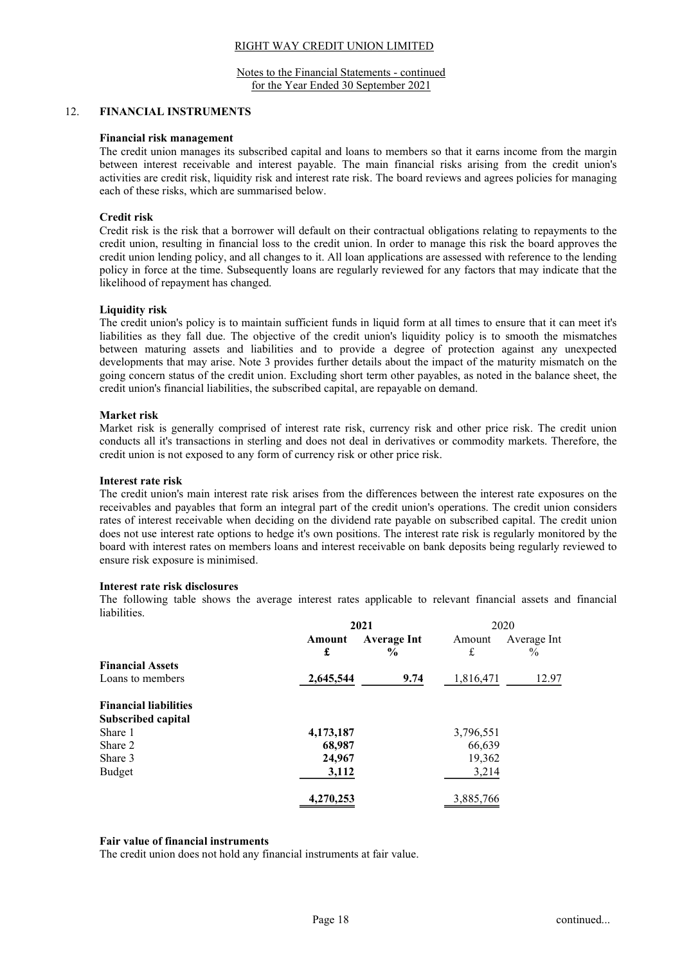Notes to the Financial Statements - continued for the Year Ended 30 September 2021

#### 12. FINANCIAL INSTRUMENTS

#### Financial risk management

The credit union manages its subscribed capital and loans to members so that it earns income from the margin between interest receivable and interest payable. The main financial risks arising from the credit union's activities are credit risk, liquidity risk and interest rate risk. The board reviews and agrees policies for managing each of these risks, which are summarised below.

## Credit risk

Credit risk is the risk that a borrower will default on their contractual obligations relating to repayments to the credit union, resulting in financial loss to the credit union. In order to manage this risk the board approves the credit union lending policy, and all changes to it. All loan applications are assessed with reference to the lending policy in force at the time. Subsequently loans are regularly reviewed for any factors that may indicate that the likelihood of repayment has changed.

#### Liquidity risk

The credit union's policy is to maintain sufficient funds in liquid form at all times to ensure that it can meet it's liabilities as they fall due. The objective of the credit union's liquidity policy is to smooth the mismatches between maturing assets and liabilities and to provide a degree of protection against any unexpected developments that may arise. Note 3 provides further details about the impact of the maturity mismatch on the going concern status of the credit union. Excluding short term other payables, as noted in the balance sheet, the credit union's financial liabilities, the subscribed capital, are repayable on demand.

#### Market risk

Market risk is generally comprised of interest rate risk, currency risk and other price risk. The credit union conducts all it's transactions in sterling and does not deal in derivatives or commodity markets. Therefore, the credit union is not exposed to any form of currency risk or other price risk.

#### Interest rate risk

The credit union's main interest rate risk arises from the differences between the interest rate exposures on the receivables and payables that form an integral part of the credit union's operations. The credit union considers rates of interest receivable when deciding on the dividend rate payable on subscribed capital. The credit union does not use interest rate options to hedge it's own positions. The interest rate risk is regularly monitored by the board with interest rates on members loans and interest receivable on bank deposits being regularly reviewed to ensure risk exposure is minimised.

#### Interest rate risk disclosures

The following table shows the average interest rates applicable to relevant financial assets and financial liabilities.

|                              | 2021      |                    | 2020      |             |
|------------------------------|-----------|--------------------|-----------|-------------|
|                              | Amount    | <b>Average Int</b> | Amount    | Average Int |
|                              | £         | $\frac{6}{9}$      | £         | $\%$        |
| <b>Financial Assets</b>      |           |                    |           |             |
| Loans to members             | 2,645,544 | 9.74               | 1,816,471 | 12.97       |
| <b>Financial liabilities</b> |           |                    |           |             |
| <b>Subscribed capital</b>    |           |                    |           |             |
| Share 1                      | 4,173,187 |                    | 3,796,551 |             |
| Share 2                      | 68,987    |                    | 66,639    |             |
| Share 3                      | 24,967    |                    | 19,362    |             |
| Budget                       | 3,112     |                    | 3,214     |             |
|                              | 4,270,253 |                    | 3,885,766 |             |

#### Fair value of financial instruments

The credit union does not hold any financial instruments at fair value.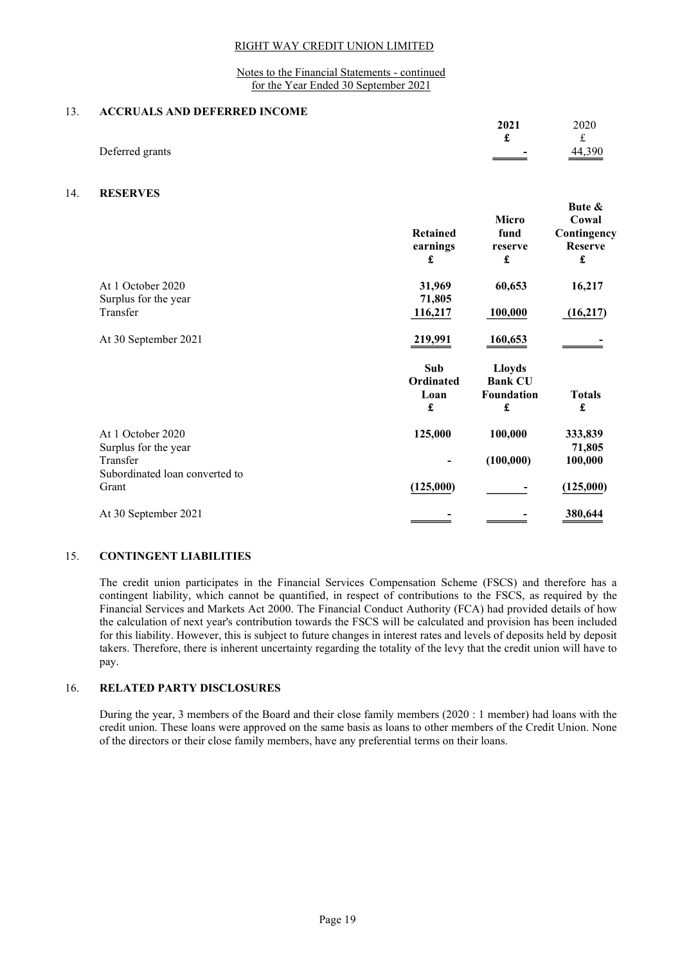#### Notes to the Financial Statements - continued for the Year Ended 30 September 2021

#### 13. ACCRUALS AND DEFERRED INCOME

|                 | 2021                                 | 2020               |
|-----------------|--------------------------------------|--------------------|
|                 |                                      |                    |
| Deferred grants | $\blacksquare$<br>$\hspace{.05cm} =$ | $\frac{44,390}{2}$ |

## 14. RESERVES

|                                | <b>Retained</b><br>earnings<br>£ | Micro<br>fund<br>reserve<br>£ | Bute &<br>Cowal<br>Contingency<br><b>Reserve</b><br>£ |
|--------------------------------|----------------------------------|-------------------------------|-------------------------------------------------------|
| At 1 October 2020              | 31,969                           | 60,653                        | 16,217                                                |
| Surplus for the year           | 71,805                           |                               |                                                       |
| Transfer                       | 116,217                          | 100,000                       | (16,217)                                              |
| At 30 September 2021           | <u>219,991</u>                   | 160,653                       |                                                       |
|                                | Sub                              | <b>Lloyds</b>                 |                                                       |
|                                | Ordinated                        | <b>Bank CU</b>                |                                                       |
|                                | Loan                             | Foundation                    | <b>Totals</b>                                         |
|                                | £                                | £                             | £                                                     |
| At 1 October 2020              | 125,000                          | 100,000                       | 333,839                                               |
| Surplus for the year           |                                  |                               | 71,805                                                |
| Transfer                       |                                  | (100,000)                     | 100,000                                               |
| Subordinated loan converted to |                                  |                               |                                                       |
| Grant                          | (125,000)                        |                               | (125,000)                                             |
| At 30 September 2021           |                                  |                               | 380,644                                               |
|                                |                                  |                               |                                                       |

## 15. CONTINGENT LIABILITIES

The credit union participates in the Financial Services Compensation Scheme (FSCS) and therefore has a contingent liability, which cannot be quantified, in respect of contributions to the FSCS, as required by the Financial Services and Markets Act 2000. The Financial Conduct Authority (FCA) had provided details of how the calculation of next year's contribution towards the FSCS will be calculated and provision has been included for this liability. However, this is subject to future changes in interest rates and levels of deposits held by deposit takers. Therefore, there is inherent uncertainty regarding the totality of the levy that the credit union will have to pay.

## 16. RELATED PARTY DISCLOSURES

During the year, 3 members of the Board and their close family members (2020 : 1 member) had loans with the credit union. These loans were approved on the same basis as loans to other members of the Credit Union. None of the directors or their close family members, have any preferential terms on their loans.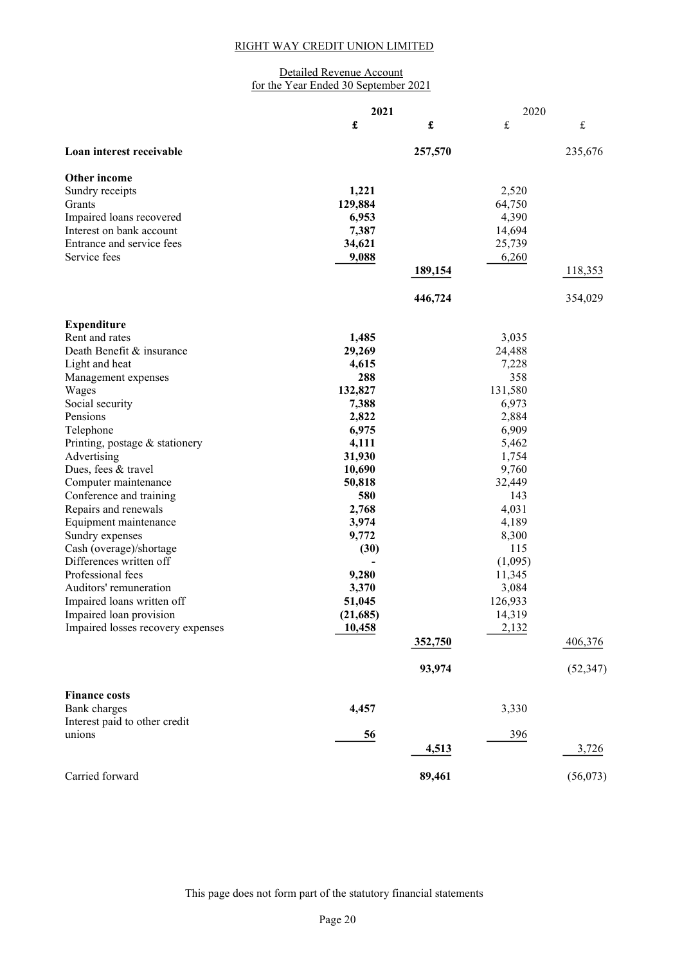## Detailed Revenue Account for the Year Ended 30 September 2021

|                                   | 2021<br>2020 |                      |           |             |
|-----------------------------------|--------------|----------------------|-----------|-------------|
|                                   | £            | $\pmb{\mathfrak{L}}$ | $\pounds$ | $\mathbf f$ |
| Loan interest receivable          |              | 257,570              |           | 235,676     |
| Other income                      |              |                      |           |             |
| Sundry receipts                   | 1,221        |                      | 2,520     |             |
| Grants                            | 129,884      |                      | 64,750    |             |
| Impaired loans recovered          | 6,953        |                      | 4,390     |             |
| Interest on bank account          | 7,387        |                      | 14,694    |             |
| Entrance and service fees         | 34,621       |                      | 25,739    |             |
| Service fees                      | 9,088        |                      | 6,260     |             |
|                                   |              | 189,154              |           | 118,353     |
|                                   |              | 446,724              |           | 354,029     |
| <b>Expenditure</b>                |              |                      |           |             |
| Rent and rates                    | 1,485        |                      | 3,035     |             |
| Death Benefit & insurance         | 29,269       |                      | 24,488    |             |
| Light and heat                    | 4,615        |                      | 7,228     |             |
| Management expenses               | 288          |                      | 358       |             |
| Wages                             | 132,827      |                      | 131,580   |             |
| Social security                   | 7,388        |                      | 6,973     |             |
| Pensions                          | 2,822        |                      | 2,884     |             |
| Telephone                         | 6,975        |                      | 6,909     |             |
| Printing, postage & stationery    | 4,111        |                      | 5,462     |             |
| Advertising                       | 31,930       |                      | 1,754     |             |
| Dues, fees & travel               | 10,690       |                      | 9,760     |             |
| Computer maintenance              | 50,818       |                      | 32,449    |             |
| Conference and training           | 580          |                      | 143       |             |
| Repairs and renewals              | 2,768        |                      | 4,031     |             |
| Equipment maintenance             | 3,974        |                      | 4,189     |             |
| Sundry expenses                   | 9,772        |                      | 8,300     |             |
| Cash (overage)/shortage           | (30)         |                      | 115       |             |
| Differences written off           |              |                      | (1,095)   |             |
| Professional fees                 | 9,280        |                      | 11,345    |             |
| Auditors' remuneration            | 3,370        |                      | 3,084     |             |
| Impaired loans written off        | 51,045       |                      | 126,933   |             |
| Impaired loan provision           | (21,685)     |                      | 14,319    |             |
| Impaired losses recovery expenses | 10,458       |                      | 2,132     |             |
|                                   |              | 352,750              |           | 406,376     |
|                                   |              | 93,974               |           | (52, 347)   |
| <b>Finance costs</b>              |              |                      |           |             |
| Bank charges                      | 4,457        |                      | 3,330     |             |
| Interest paid to other credit     |              |                      |           |             |
| unions                            | 56           |                      | 396       |             |
|                                   |              | 4,513                |           | 3,726       |
| Carried forward                   |              | 89,461               |           | (56,073)    |

This page does not form part of the statutory financial statements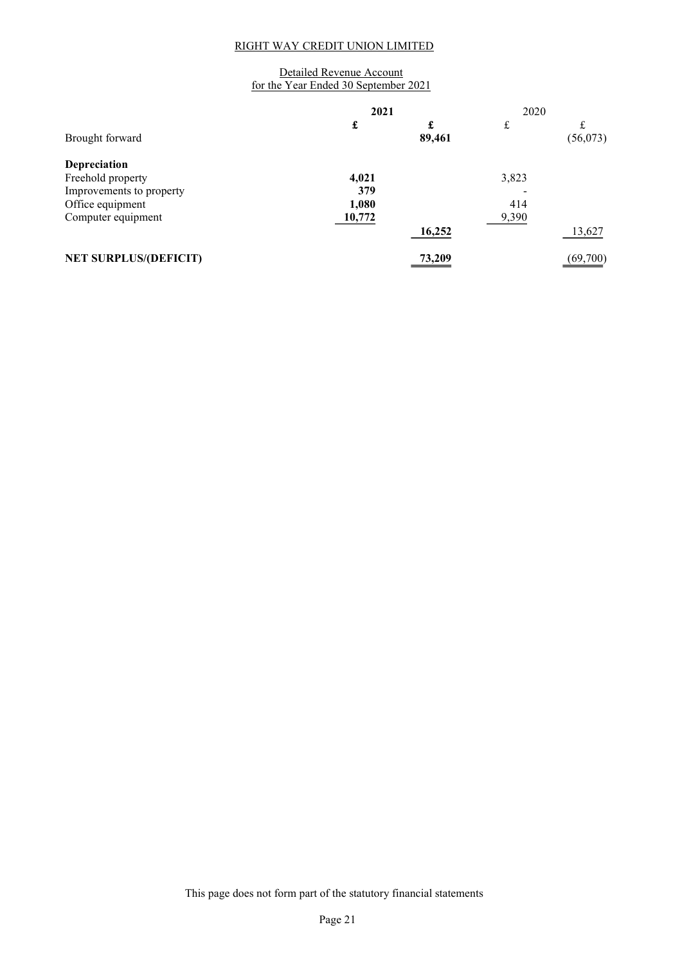## Detailed Revenue Account for the Year Ended 30 September 2021

|                              | 2021   |             | 2020  |          |
|------------------------------|--------|-------------|-------|----------|
| Brought forward              | £      | £<br>89,461 | £     | (56,073) |
| Depreciation                 |        |             |       |          |
| Freehold property            | 4,021  |             | 3,823 |          |
| Improvements to property     | 379    |             |       |          |
| Office equipment             | 1,080  |             | 414   |          |
| Computer equipment           | 10,772 |             | 9,390 |          |
|                              |        | 16,252      |       | 13,627   |
| <b>NET SURPLUS/(DEFICIT)</b> |        | 73,209      |       | (69,700) |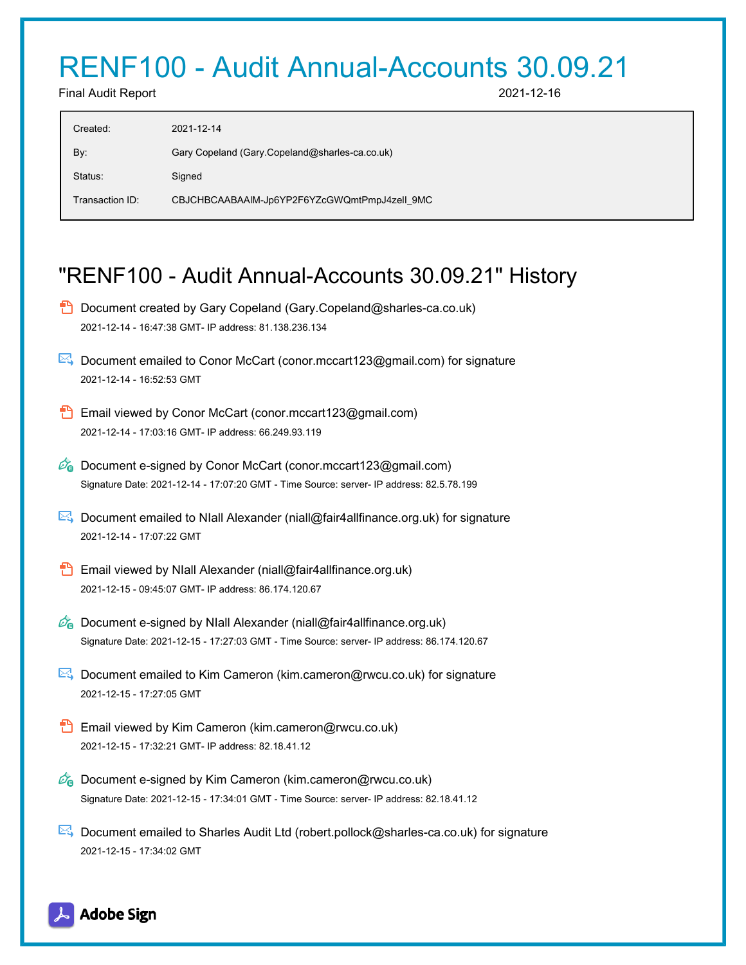# RENF100 - Audit Annual-Accounts 30.09.21

Final Audit Report 2021-12-16

| Created:        | 2021-12-14                                     |
|-----------------|------------------------------------------------|
| By:             | Gary Copeland (Gary Copeland@sharles-ca.co.uk) |
| Status:         | Signed                                         |
| Transaction ID: | CBJCHBCAABAAIM-Jp6YP2F6YZcGWQmtPmpJ4zell_9MC   |

## "RENF100 - Audit Annual-Accounts 30.09.21" History

|  | Document created by Gary Copeland (Gary.Copeland@sharles-ca.co.uk)<br>2021-12-14 - 16:47:38 GMT- IP address: 81.138.236.134                                                       |
|--|-----------------------------------------------------------------------------------------------------------------------------------------------------------------------------------|
|  | Document emailed to Conor McCart (conor mccart123@gmail.com) for signature<br>2021-12-14 - 16:52:53 GMT                                                                           |
|  | Email viewed by Conor McCart (conor.mccart123@gmail.com)<br>2021-12-14 - 17:03:16 GMT- IP address: 66.249.93.119                                                                  |
|  | <b>26</b> Document e-signed by Conor McCart (conor mccart123@gmail.com)<br>Signature Date: 2021-12-14 - 17:07:20 GMT - Time Source: server- IP address: 82.5.78.199               |
|  | Document emailed to NIall Alexander (niall@fair4allfinance.org.uk) for signature<br>2021-12-14 - 17:07:22 GMT                                                                     |
|  | Email viewed by NIall Alexander (niall@fair4allfinance.org.uk)<br>2021-12-15 - 09:45:07 GMT- IP address: 86.174.120.67                                                            |
|  | <b><i>C</i></b> Document e-signed by NIall Alexander (niall@fair4allfinance.org.uk)<br>Signature Date: 2021-12-15 - 17:27:03 GMT - Time Source: server- IP address: 86.174.120.67 |
|  | ►↓ Document emailed to Kim Cameron (kim.cameron@rwcu.co.uk) for signature<br>2021-12-15 - 17:27:05 GMT                                                                            |
|  | Email viewed by Kim Cameron (kim.cameron@rwcu.co.uk)<br>2021-12-15 - 17:32:21 GMT- IP address: 82.18.41.12                                                                        |
|  | <b>C</b> Document e-signed by Kim Cameron (kim.cameron@rwcu.co.uk)<br>Signature Date: 2021-12-15 - 17:34:01 GMT - Time Source: server- IP address: 82.18.41.12                    |
|  | Document emailed to Sharles Audit Ltd (robert.pollock@sharles-ca.co.uk) for signature                                                                                             |

2021-12-15 - 17:34:02 GMT